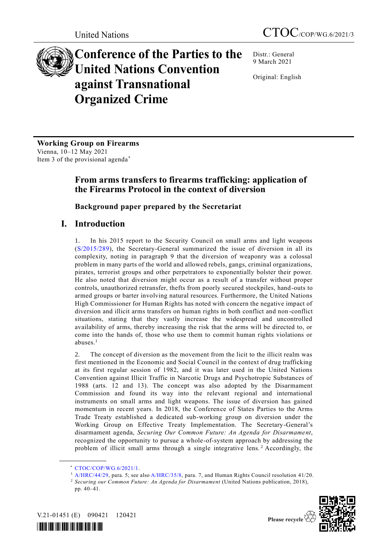# **Conference of the Parties to the United Nations Convention against Transnational Organized Crime**

Distr.: General 9 March 2021

Original: English

**Working Group on Firearms** Vienna, 10–12 May 2021 Item 3 of the provisional agenda\*

# **From arms transfers to firearms trafficking: application of the Firearms Protocol in the context of diversion**

# **Background paper prepared by the Secretariat**

# **I. Introduction**

1. In his 2015 report to the Security Council on small arms and light weapons [\(S/2015/289\)](https://undocs.org/S/2015/289), the Secretary-General summarized the issue of diversion in all its complexity, noting in paragraph 9 that the diversion of weaponry was a colossal problem in many parts of the world and allowed rebels, gangs, criminal organizations, pirates, terrorist groups and other perpetrators to exponentially bolster their power. He also noted that diversion might occur as a result of a transfer without proper controls, unauthorized retransfer, thefts from poorly secured stockpiles, hand-outs to armed groups or barter involving natural resources. Furthermore, the United Nations High Commissioner for Human Rights has noted with concern the negative impact of diversion and illicit arms transfers on human rights in both conflict and non -conflict situations, stating that they vastly increase the widespread and uncontrolled availability of arms, thereby increasing the risk that the arms will be directed to, or come into the hands of, those who use them to commit human rights violations or abuses.<sup>1</sup>

2. The concept of diversion as the movement from the licit to the illicit realm was first mentioned in the Economic and Social Council in the context of drug trafficking at its first regular session of 1982, and it was later used in the United Nations Convention against Illicit Traffic in Narcotic Drugs and Psychotropic Substances of 1988 (arts. 12 and 13). The concept was also adopted by the Disarmament Commission and found its way into the relevant regional and international instruments on small arms and light weapons. The issue of diversion has gained momentum in recent years. In 2018, the Conference of States Parties to the Arms Trade Treaty established a dedicated sub-working group on diversion under the Working Group on Effective Treaty Implementation. The Secretary-General's disarmament agenda, *Securing Our Common Future: An Agenda for Disarmament*, recognized the opportunity to pursue a whole-of-system approach by addressing the problem of illicit small arms through a single integrative lens.<sup>2</sup> Accordingly, the

<sup>2</sup> *Securing our Common Future: An Agenda for Disarmament* (United Nations publication, 2018), pp. 40–41.





<sup>\*</sup> [CTOC/COP/WG.6/2021/1.](http://undocs.org/CTOC/COP/WG.6/2021/1)

<sup>&</sup>lt;sup>1</sup> [A/HRC/44/29,](https://undocs.org/A/HRC/44/29) para. 5; see also [A/HRC/35/8,](https://undocs.org/A/HRC/35/8) para. 7, and Human Rights Council resolution 41/20.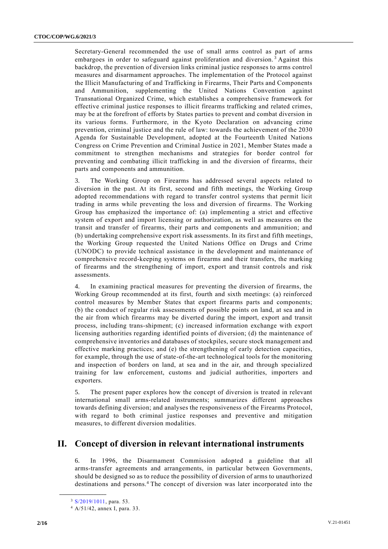Secretary-General recommended the use of small arms control as part of arms embargoes in order to safeguard against proliferation and diversion.<sup>3</sup> Against this backdrop, the prevention of diversion links criminal justice responses to arms control measures and disarmament approaches. The implementation of the Protocol against the Illicit Manufacturing of and Trafficking in Firearms, Their Parts and Components and Ammunition, supplementing the United Nations Convention against Transnational Organized Crime, which establishes a comprehensive framework for effective criminal justice responses to illicit firearms trafficking and related crimes, may be at the forefront of efforts by States parties to prevent and combat diversion in its various forms. Furthermore, in the Kyoto Declaration on advancing crime prevention, criminal justice and the rule of law: towards the achievement of the 2030 Agenda for Sustainable Development, adopted at the Fourteenth United Nations Congress on Crime Prevention and Criminal Justice in 2021, Member States made a commitment to strengthen mechanisms and strategies for border control for preventing and combating illicit trafficking in and the diversion of firearms, their parts and components and ammunition.

3. The Working Group on Firearms has addressed several aspects related to diversion in the past. At its first, second and fifth meetings, the Working Group adopted recommendations with regard to transfer control systems that permit licit trading in arms while preventing the loss and diversion of firearms. The Working Group has emphasized the importance of: (a) implementing a strict and effective system of export and import licensing or authorization, as well as measures on the transit and transfer of firearms, their parts and components and ammunition; and (b) undertaking comprehensive export risk assessments. In its first and fifth meetings, the Working Group requested the United Nations Office on Drugs and Crime (UNODC) to provide technical assistance in the development and maintenance of comprehensive record-keeping systems on firearms and their transfers, the marking of firearms and the strengthening of import, export and transit controls and risk assessments.

4. In examining practical measures for preventing the diversion of firearms, the Working Group recommended at its first, fourth and sixth meetings: (a) reinforced control measures by Member States that export firearms parts and components; (b) the conduct of regular risk assessments of possible points on land, at sea and in the air from which firearms may be diverted during the import, export and transit process, including trans-shipment; (c) increased information exchange with export licensing authorities regarding identified points of diversion; (d) the maintenance of comprehensive inventories and databases of stockpiles, secure stock management and effective marking practices; and (e) the strengthening of early detection capacities, for example, through the use of state-of-the-art technological tools for the monitoring and inspection of borders on land, at sea and in the air, and through specialized training for law enforcement, customs and judicial authorities, importers and exporters.

5. The present paper explores how the concept of diversion is treated in relevant international small arms-related instruments; summarizes different approaches towards defining diversion; and analyses the responsiveness of the Firearms Protocol, with regard to both criminal justice responses and preventive and mitigation measures, to different diversion modalities.

# **II. Concept of diversion in relevant international instruments**

6. In 1996, the Disarmament Commission adopted a guideline that all arms-transfer agreements and arrangements, in particular between Governments, should be designed so as to reduce the possibility of diversion of arms to unauthorized destinations and persons.<sup>4</sup> The concept of diversion was later incorporated into the

<sup>&</sup>lt;sup>3</sup> [S/2019/1011,](https://undocs.org/S/2019/1011) para. 53.

<sup>4</sup> A/51/42, annex I, para. 33.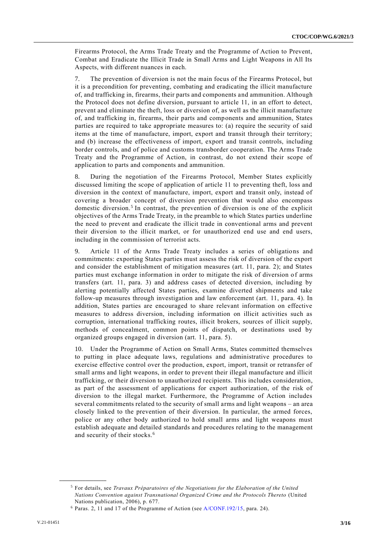Firearms Protocol, the Arms Trade Treaty and the Programme of Action to Prevent, Combat and Eradicate the Illicit Trade in Small Arms and Light Weapons in All Its Aspects, with different nuances in each.

7. The prevention of diversion is not the main focus of the Firearms Protocol, but it is a precondition for preventing, combating and eradicating the illicit manufacture of, and trafficking in, firearms, their parts and components and ammunition. Although the Protocol does not define diversion, pursuant to article 11, in an effort to detect, prevent and eliminate the theft, loss or diversion of, as well as the illicit manufacture of, and trafficking in, firearms, their parts and components and ammunition, States parties are required to take appropriate measures to: (a) require the security of said items at the time of manufacture, import, export and transit through their territory; and (b) increase the effectiveness of import, export and transit controls, including border controls, and of police and customs transborder cooperation. The Arms Trade Treaty and the Programme of Action, in contrast, do not extend their scope of application to parts and components and ammunition.

8. During the negotiation of the Firearms Protocol, Member States explicitly discussed limiting the scope of application of article 11 to preventing theft, loss and diversion in the context of manufacture, import, export and transit only, instead of covering a broader concept of diversion prevention that would also encompass domestic diversion.<sup>5</sup> In contrast, the prevention of diversion is one of the explicit objectives of the Arms Trade Treaty, in the preamble to which States parties underline the need to prevent and eradicate the illicit trade in conventional arms and prevent their diversion to the illicit market, or for unauthorized end use and end users, including in the commission of terrorist acts.

9. Article 11 of the Arms Trade Treaty includes a series of obligations and commitments: exporting States parties must assess the risk of diversion of the export and consider the establishment of mitigation measures (art. 11, para. 2); and States parties must exchange information in order to mitigate the risk of diversion of arms transfers (art. 11, para. 3) and address cases of detected diversion, including by alerting potentially affected States parties, examine diverted shipments and take follow-up measures through investigation and law enforcement (art. 11, para. 4). In addition, States parties are encouraged to share relevant information on effective measures to address diversion, including information on illicit activities such as corruption, international trafficking routes, illicit brokers, sources of illicit supply, methods of concealment, common points of dispatch, or destinations used by organized groups engaged in diversion (art. 11, para. 5).

10. Under the Programme of Action on Small Arms, States committed themselves to putting in place adequate laws, regulations and administrative procedures to exercise effective control over the production, export, import, transit or retransfer of small arms and light weapons, in order to prevent their illegal manufacture and illicit trafficking, or their diversion to unauthorized recipients. This includes consideration, as part of the assessment of applications for export authorization, of the risk of diversion to the illegal market. Furthermore, the Programme of Action includes several commitments related to the security of small arms and light weapons – an area closely linked to the prevention of their diversion. In particular, the armed forces, police or any other body authorized to hold small arms and light weapons must establish adequate and detailed standards and procedures relating to the management and security of their stocks.<sup>6</sup>

<sup>5</sup> For details, see *Travaux Préparatoires of the Negotiations for the Elaboration of the United Nations Convention against Transnational Organized Crime and the Protocols Thereto* (United Nations publication, 2006), p. 677.

<sup>6</sup> Paras. 2, 11 and 17 of the Programme of Action (see [A/CONF.192/15,](https://undocs.org/en/A/CONF.192/15(Supp)) para. 24).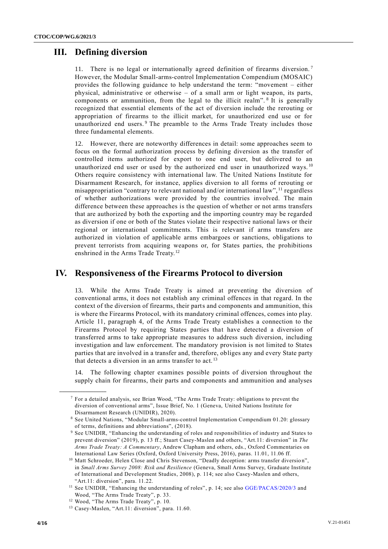# **III. Defining diversion**

11. There is no legal or internationally agreed definition of firearms diversion. <sup>7</sup> However, the Modular Small-arms-control Implementation Compendium (MOSAIC) provides the following guidance to help understand the term: "movement – either physical, administrative or otherwise – of a small arm or light weapon, its parts, components or ammunition, from the legal to the illicit realm".<sup>8</sup> It is generally recognized that essential elements of the act of diversion include the rerouting or appropriation of firearms to the illicit market, for unauthorized end use or for unauthorized end users.<sup>9</sup> The preamble to the Arms Trade Treaty includes those three fundamental elements.

12. However, there are noteworthy differences in detail: some approaches seem to focus on the formal authorization process by defining diversion as the transfer of controlled items authorized for export to one end user, but delivered to an unauthorized end user or used by the authorized end user in unauthorized ways.<sup>10</sup> Others require consistency with international law. The United Nations Institute for Disarmament Research, for instance, applies diversion to all forms of rerouting or misappropriation "contrary to relevant national and/or international law", <sup>11</sup> regardless of whether authorizations were provided by the countries involved. The main difference between these approaches is the question of whether or not arms transfers that are authorized by both the exporting and the importing country may be regarded as diversion if one or both of the States violate their respective national laws or their regional or international commitments. This is relevant if arms transfers are authorized in violation of applicable arms embargoes or sanctions, obligations to prevent terrorists from acquiring weapons or, for States parties, the prohibitions enshrined in the Arms Trade Treaty.<sup>12</sup>

# **IV. Responsiveness of the Firearms Protocol to diversion**

13. While the Arms Trade Treaty is aimed at preventing the diversion of conventional arms, it does not establish any criminal offences in that regard. In the context of the diversion of firearms, their parts and components and ammunition, this is where the Firearms Protocol, with its mandatory criminal offences, comes into play. Article 11, paragraph 4, of the Arms Trade Treaty establishes a connection to the Firearms Protocol by requiring States parties that have detected a diversion of transferred arms to take appropriate measures to address such diversion, including investigation and law enforcement. The mandatory provision is not limited to States parties that are involved in a transfer and, therefore, obliges any and every State party that detects a diversion in an arms transfer to act.<sup>13</sup>

14. The following chapter examines possible points of diversion throughout the supply chain for firearms, their parts and components and ammunition and analyses

 $<sup>7</sup>$  For a detailed analysis, see Brian Wood, "The Arms Trade Treaty: obligations to prevent the</sup> diversion of conventional arms", Issue Brief, No. 1 (Geneva, United Nations Institute for Disarmament Research (UNIDIR), 2020).

<sup>8</sup> See United Nations, "Modular Small-arms-control Implementation Compendium 01.20: glossary of terms, definitions and abbreviations", (2018).

<sup>9</sup> See UNIDIR, "Enhancing the understanding of roles and responsibilities of industry and States to prevent diversion" (2019), p. 13 ff.; Stuart Casey-Maslen and others, "Art.11: diversion" in *The Arms Trade Treaty: A Commentary*, Andrew Clapham and others, eds., Oxford Commentaries on International Law Series (Oxford, Oxford University Press, 2016), paras. 11.01, 11.06 ff.

<sup>&</sup>lt;sup>10</sup> Matt Schroeder, Helen Close and Chris Stevenson, "Deadly deception: arms transfer diversion", in *Small Arms Survey 2008: Risk and Resilience* (Geneva, Small Arms Survey, Graduate Institute of International and Development Studies, 2008), p. 114; see also Casey-Maslen and others, "Art.11: diversion", para. 11.22.

<sup>&</sup>lt;sup>11</sup> See UNIDIR, "Enhancing the understanding of roles", p. 14; see also [GGE/PACAS/2020/3](https://undocs.org/GGE/PACAS/2020/3) and Wood, "The Arms Trade Treaty", p. 33.

<sup>12</sup> Wood, "The Arms Trade Treaty", p. 10.

<sup>&</sup>lt;sup>13</sup> Casey-Maslen, "Art.11: diversion", para. 11.60.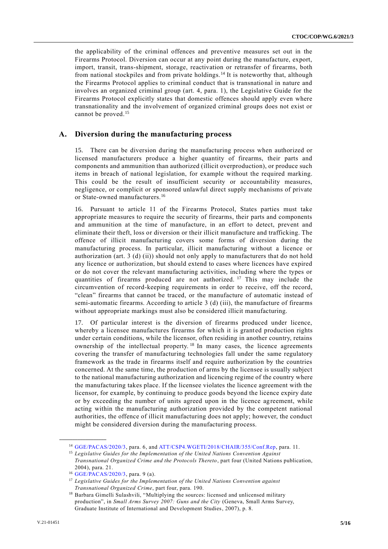the applicability of the criminal offences and preventive measures set out in the Firearms Protocol. Diversion can occur at any point during the manufacture, export, import, transit, trans-shipment, storage, reactivation or retransfer of firearms, both from national stockpiles and from private holdings. <sup>14</sup> It is noteworthy that, although the Firearms Protocol applies to criminal conduct that is transnational in nature and involves an organized criminal group (art. 4, para. 1), the Legislative Guide for the Firearms Protocol explicitly states that domestic offences should apply even where transnationality and the involvement of organized criminal groups does not exist or cannot be proved.<sup>15</sup>

### **A. Diversion during the manufacturing process**

15. There can be diversion during the manufacturing process when authorized or licensed manufacturers produce a higher quantity of firearms, their parts and components and ammunition than authorized (illicit overproduction), or produce such items in breach of national legislation, for example without the required marking. This could be the result of insufficient security or accountability measures, negligence, or complicit or sponsored unlawful direct supply mechanisms of private or State-owned manufacturers.<sup>16</sup>

16. Pursuant to article 11 of the Firearms Protocol, States parties must take appropriate measures to require the security of firearms, their parts and components and ammunition at the time of manufacture, in an effort to detect, prevent and eliminate their theft, loss or diversion or their illicit manufacture and trafficking. The offence of illicit manufacturing covers some forms of diversion during the manufacturing process. In particular, illicit manufacturing without a licence or authorization (art. 3 (d) (ii)) should not only apply to manufacturers that do not hold any licence or authorization, but should extend to cases where licences have expired or do not cover the relevant manufacturing activities, including where the types or quantities of firearms produced are not authorized.<sup>17</sup> This may include the circumvention of record-keeping requirements in order to receive, off the record, "clean" firearms that cannot be traced, or the manufacture of automatic instead of semi-automatic firearms. According to article 3 (d) (iii), the manufacture of firearms without appropriate markings must also be considered illicit manufacturing.

17. Of particular interest is the diversion of firearms produced under licence, whereby a licensee manufactures firearms for which it is granted production rights under certain conditions, while the licensor, often residing in another country, retains ownership of the intellectual property.<sup>18</sup> In many cases, the licence agreements covering the transfer of manufacturing technologies fall under the same regulatory framework as the trade in firearms itself and require authorization by the countries concerned. At the same time, the production of arms by the licensee is usually subject to the national manufacturing authorization and licencing regime of the country where the manufacturing takes place. If the licensee violates the licence agreement with the licensor, for example, by continuing to produce goods beyond the licence expiry date or by exceeding the number of units agreed upon in the licence agreement, while acting within the manufacturing authorization provided by the competent national authorities, the offence of illicit manufacturing does not apply; however, the conduct might be considered diversion during the manufacturing process.

<sup>14</sup> [GGE/PACAS/2020/3,](https://undocs.org/GGE/PACAS/2020/3) para. 6, and [ATT/CSP4.WGETI/2018/CHAIR/355/Conf.Rep,](https://www.thearmstradetreaty.org/hyper-images/file/ATT_CSP4_WGETI_Draft_Report_EN1/ATT_CSP4_WGETI_Draft_Report_EN.pdf) para. 11.

<sup>15</sup> *Legislative Guides for the Implementation of the United Nations Convention Against Transnational Organized Crime and the Protocols Thereto*, part four (United Nations publication, 2004), para. 21.

<sup>16</sup> [GGE/PACAS/2020/3,](https://undocs.org/GGE/PACAS/2020/3) para. 9 (a).

<sup>17</sup> *Legislative Guides for the Implementation of the United Nations Convention against Transnational Organized Crime*, part four, para. 190.

<sup>&</sup>lt;sup>18</sup> Barbara Gimelli Sulashvili, "Multiplying the sources: licensed and unlicensed military production", in *Small Arms Survey 2007: Guns and the City* (Geneva, Small Arms Survey, Graduate Institute of International and Development Studies, 2007), p. 8.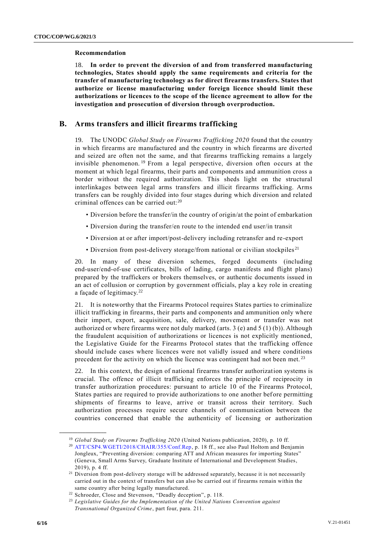#### **Recommendation**

18. **In order to prevent the diversion of and from transferred manufacturing technologies, States should apply the same requirements and criteria for the transfer of manufacturing technology as for direct firearms transfers. States that authorize or license manufacturing under foreign licence should limit these authorizations or licences to the scope of the licence agreement to allow for the investigation and prosecution of diversion through overproduction.**

### **B. Arms transfers and illicit firearms trafficking**

19. The UNODC *Global Study on Firearms Trafficking 2020* found that the country in which firearms are manufactured and the country in which firearms are diverted and seized are often not the same, and that firearms trafficking remains a largely invisible phenomenon. <sup>19</sup> From a legal perspective, diversion often occurs at the moment at which legal firearms, their parts and components and ammunition cross a border without the required authorization. This sheds light on the structural interlinkages between legal arms transfers and illicit firearms trafficking. Arms transfers can be roughly divided into four stages during which diversion and related criminal offences can be carried out:<sup>20</sup>

- Diversion before the transfer/in the country of origin/at the point of embarkation
- Diversion during the transfer/en route to the intended end user/in transit
- Diversion at or after import/post-delivery including retransfer and re-export
- Diversion from post-delivery storage/from national or civilian stockpiles<sup>21</sup>

20. In many of these diversion schemes, forged documents (including end-user/end-of-use certificates, bills of lading, cargo manifests and flight plans) prepared by the traffickers or brokers themselves, or authentic documents issued in an act of collusion or corruption by government officials, play a key role in creating a façade of legitimacy.<sup>22</sup>

21. It is noteworthy that the Firearms Protocol requires States parties to criminalize illicit trafficking in firearms, their parts and components and ammunition only where their import, export, acquisition, sale, delivery, movement or transfer was not authorized or where firearms were not duly marked (arts. 3 (e) and  $5(1)(b)$ ). Although the fraudulent acquisition of authorizations or licences is not explicitly mentioned, the Legislative Guide for the Firearms Protocol states that the trafficking offence should include cases where licences were not validly issued and where conditions precedent for the activity on which the licence was contingent had not been met.<sup>23</sup>

22. In this context, the design of national firearms transfer authorization systems is crucial. The offence of illicit trafficking enforces the principle of reciprocity in transfer authorization procedures: pursuant to article 10 of the Firearms Protocol, States parties are required to provide authorizations to one another before permitting shipments of firearms to leave, arrive or transit across their territory. Such authorization processes require secure channels of communication between the countries concerned that enable the authenticity of licensing or authorization

<sup>&</sup>lt;sup>19</sup> Global Study on Firearms Trafficking 2020 (United Nations publication, 2020), p. 10 ff.

<sup>20</sup> [ATT/CSP4.WGETI/2018/CHAIR/355/Conf.Rep,](https://www.thearmstradetreaty.org/hyper-images/file/ATT_CSP4_WGETI_Draft_Report_EN1/ATT_CSP4_WGETI_Draft_Report_EN.pdf) p. 18 ff., see also Paul Holtom and Benjamin Jongleux, "Preventing diversion: comparing ATT and African measures for importing States" (Geneva, Small Arms Survey, Graduate Institute of International and Development Studies, 2019), p. 4 ff.

<sup>&</sup>lt;sup>21</sup> Diversion from post-delivery storage will be addressed separately, because it is not necessarily carried out in the context of transfers but can also be carried out if firearms remain within the same country after being legally manufactured.

<sup>22</sup> Schroeder, Close and Stevenson, "Deadly deception", p. 118.

<sup>23</sup> *Legislative Guides for the Implementation of the United Nations Convention against Transnational Organized Crime*, part four, para. 211.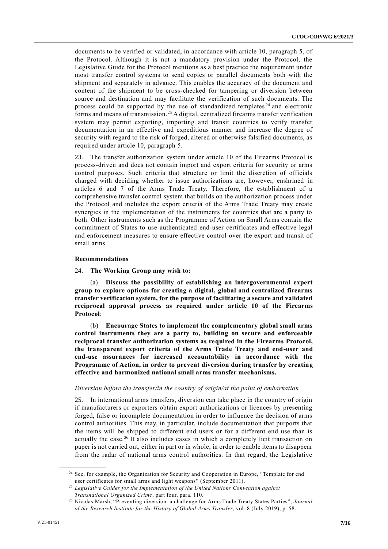documents to be verified or validated, in accordance with article 10, paragraph 5, of the Protocol. Although it is not a mandatory provision under the Protocol, the Legislative Guide for the Protocol mentions as a best practice the requirement under most transfer control systems to send copies or parallel documents both with the shipment and separately in advance. This enables the accuracy of the document and content of the shipment to be cross-checked for tampering or diversion between source and destination and may facilitate the verification of such documents. The process could be supported by the use of standardized templates  $24$  and electronic forms and means of transmission.<sup>25</sup> A digital, centralized firearms transfer verification system may permit exporting, importing and transit countries to verify transfer documentation in an effective and expeditious manner and increase the degree of security with regard to the risk of forged, altered or otherwise falsified documents, as required under article 10, paragraph 5.

23. The transfer authorization system under article 10 of the Firearms Protocol is process-driven and does not contain import and export criteria for security or arms control purposes. Such criteria that structure or limit the discretion of officials charged with deciding whether to issue authorizations are, however, enshrined in articles 6 and 7 of the Arms Trade Treaty. Therefore, the establishment of a comprehensive transfer control system that builds on the authorization process under the Protocol and includes the export criteria of the Arms Trade Treaty may create synergies in the implementation of the instruments for countries that are a party to both. Other instruments such as the Programme of Action on Small Arms contain the commitment of States to use authenticated end-user certificates and effective legal and enforcement measures to ensure effective control over the export and transit of small arms.

#### **Recommendations**

#### 24. **The Working Group may wish to:**

(a) **Discuss the possibility of establishing an intergovernmental expert group to explore options for creating a digital, global and centralized firearms transfer verification system, for the purpose of facilitating a secure and validated reciprocal approval process as required under article 10 of the Firearms Protocol**;

(b) **Encourage States to implement the complementary global small arms control instruments they are a party to, building on secure and enforceable reciprocal transfer authorization systems as required in the Firearms Protocol, the transparent export criteria of the Arms Trade Treaty and end-user and end-use assurances for increased accountability in accordance with the Programme of Action, in order to prevent diversion during transfer by creating effective and harmonized national small arms transfer mechanisms.**

#### *Diversion before the transfer/in the country of origin/at the point of embarkation*

25. In international arms transfers, diversion can take place in the country of origin if manufacturers or exporters obtain export authorizations or licences by presenting forged, false or incomplete documentation in order to influence the decision of arms control authorities. This may, in particular, include documentation that purports that the items will be shipped to different end users or for a different end use than is actually the case.<sup>26</sup> It also includes cases in which a completely licit transaction on paper is not carried out, either in part or in whole, in order to enable items to disappear from the radar of national arms control authorities. In that regard, the Legislative

<sup>&</sup>lt;sup>24</sup> See, for example, the Organization for Security and Cooperation in Europe, "Template for end user certificates for small arms and light weapons" (September 2011).

<sup>25</sup> *Legislative Guides for the Implementation of the United Nations Convention against Transnational Organized Crime*, part four, para. 110.

<sup>26</sup> Nicolas Marsh, "Preventing diversion: a challenge for Arms Trade Treaty States Parties", *Journal of the Research Institute for the History of Global Arms Transfer*, vol. 8 (July 2019), p. 58.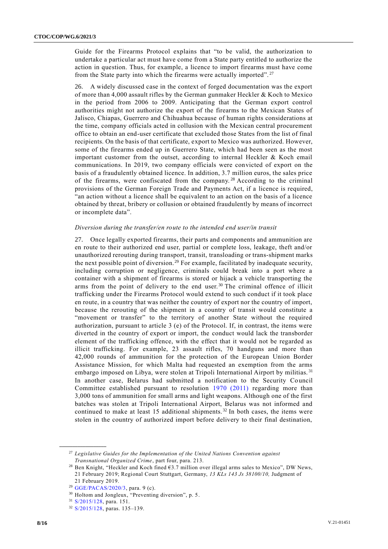Guide for the Firearms Protocol explains that "to be valid, the authorization to undertake a particular act must have come from a State party entitled to authorize the action in question. Thus, for example, a licence to import firearms must have come from the State party into which the firearms were actually imported".<sup>27</sup>

26. A widely discussed case in the context of forged documentation was the export of more than 4,000 assault rifles by the German gunmaker Heckler & Koch to Mexico in the period from 2006 to 2009. Anticipating that the German export control authorities might not authorize the export of the firearms to the Mexican States of Jalisco, Chiapas, Guerrero and Chihuahua because of human rights considerations at the time, company officials acted in collusion with the Mexican central procurement office to obtain an end-user certificate that excluded those States from the list of final recipients. On the basis of that certificate, export to Mexico was authorized. However, some of the firearms ended up in Guerrero State, which had been seen as the most important customer from the outset, according to internal Heckler & Koch email communications. In 2019, two company officials were convicted of export on the basis of a fraudulently obtained licence. In addition, 3.7 million euros, the sales price of the firearms, were confiscated from the company.<sup>28</sup> According to the criminal provisions of the German Foreign Trade and Payments Act, if a licence is required, "an action without a licence shall be equivalent to an action on the basis of a licence obtained by threat, bribery or collusion or obtained fraudulently by means of incorrect or incomplete data".

#### *Diversion during the transfer/en route to the intended end user/in transit*

27. Once legally exported firearms, their parts and components and ammunition are en route to their authorized end user, partial or complete loss, leakage, theft and/or unauthorized rerouting during transport, transit, transloading or trans-shipment marks the next possible point of diversion.<sup>29</sup> For example, facilitated by inadequate security, including corruption or negligence, criminals could break into a port where a container with a shipment of firearms is stored or hijack a vehicle transporting the arms from the point of delivery to the end user.<sup>30</sup> The criminal offence of illicit trafficking under the Firearms Protocol would extend to such conduct if it took place en route, in a country that was neither the country of export nor the country of import, because the rerouting of the shipment in a country of transit would constitute a "movement or transfer" to the territory of another State without the required authorization, pursuant to article 3 (e) of the Protocol. If, in contrast, the items were diverted in the country of export or import, the conduct would lack the transborder element of the trafficking offence, with the effect that it would not be regarded as illicit trafficking. For example, 23 assault rifles, 70 handguns and more than 42,000 rounds of ammunition for the protection of the European Union Border Assistance Mission, for which Malta had requested an exemption from the arms embargo imposed on Libya, were stolen at Tripoli International Airport by militias.<sup>31</sup> In another case, Belarus had submitted a notification to the Security Council Committee established pursuant to resolution [1970 \(2011\)](https://undocs.org/en/S/RES/1970(2011)) regarding more than 3,000 tons of ammunition for small arms and light weapons. Although one of the first batches was stolen at Tripoli International Airport, Belarus was not informed and continued to make at least 15 additional shipments.<sup>32</sup> In both cases, the items were stolen in the country of authorized import before delivery to their final destination,

<sup>27</sup> *Legislative Guides for the Implementation of the United Nations Convention against Transnational Organized Crime*, part four, para. 213.

<sup>28</sup> Ben Knight, "Heckler and Koch fined €3.7 million over illegal arms sales to Mexico", DW News, 21 February 2019; Regional Court Stuttgart, Germany, *13 KLs 143 Js 38100/10,* Judgment of 21 February 2019.

<sup>29</sup> [GGE/PACAS/2020/3,](https://undocs.org/GGE/PACAS/2020/3) para. 9 (c).

<sup>30</sup> Holtom and Jongleux, "Preventing diversion", p. 5.

<sup>31</sup> [S/2015/128,](https://undocs.org/S/2015/128) para. 151.

<sup>32</sup> [S/2015/128,](https://undocs.org/S/2015/128) paras. 135–139.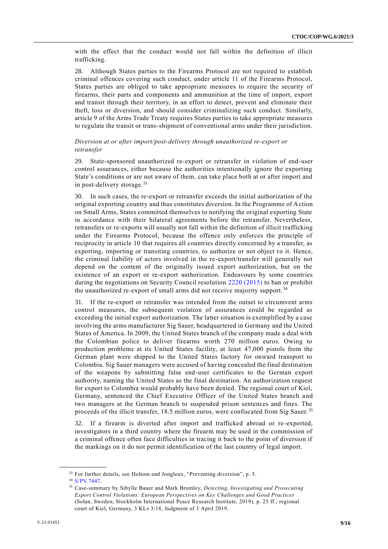with the effect that the conduct would not fall within the definition of illicit trafficking.

28. Although States parties to the Firearms Protocol are not required to establish criminal offences covering such conduct, under article 11 of the Firearms Protocol, States parties are obliged to take appropriate measures to require the security of firearms, their parts and components and ammunition at the time of import, export and transit through their territory, in an effort to detect, prevent and eliminate their theft, loss or diversion, and should consider criminalizing such conduct. Similarly, article 9 of the Arms Trade Treaty requires States parties to take appropriate measures to regulate the transit or trans-shipment of conventional arms under their jurisdiction.

### *Diversion at or after import/post-delivery through unauthorized re-export or retransfer*

29. State-sponsored unauthorized re-export or retransfer in violation of end-user control assurances, either because the authorities intentionally ignore the exporting State's conditions or are not aware of them, can take place both at or after import and in post-delivery storage. $33$ 

30. In such cases, the re-export or retransfer exceeds the initial authorization of the original exporting country and thus constitutes diversion. In the Programme of Action on Small Arms, States committed themselves to notifying the original exporting State in accordance with their bilateral agreements before the retransfer. Nevertheless, retransfers or re-exports will usually not fall within the definition of illicit trafficking under the Firearms Protocol, because the offence only enforces the principle of reciprocity in article 10 that requires all countries directly concerned by a transfer, as exporting, importing or transiting countries, to authorize or not object to it. Hence, the criminal liability of actors involved in the re-export/transfer will generally not depend on the content of the originally issued export authorization, but on the existence of an export or re-export authorization. Endeavours by some countries during the negotiations on Security Council resolution [2220 \(2015\)](http://undocs.org/S/RES/2220(2015)) to ban or prohibit the unauthorized re-export of small arms did not receive majority support. <sup>34</sup>

31. If the re-export or retransfer was intended from the outset to circumvent arms control measures, the subsequent violation of assurances could be regarded as exceeding the initial export authorization. The latter situation is exemplified by a case involving the arms manufacturer Sig Sauer, headquartered in Germany and the United States of America. In 2009, the United States branch of the company made a deal with the Colombian police to deliver firearms worth 270 million euros. Owing to production problems at its United States facility, at least 47,000 pistols from the German plant were shipped to the United States factory for onward transport to Colombia. Sig Sauer managers were accused of having concealed the final destination of the weapons by submitting false end-user certificates to the German export authority, naming the United States as the final destination. An authorization request for export to Colombia would probably have been denied. The regional court of Kiel, Germany, sentenced the Chief Executive Officer of the United States branch and two managers at the German branch to suspended prison sentences and fines. The proceeds of the illicit transfer, 18.5 million euros, were confiscated from Sig Sauer. <sup>35</sup>

32. If a firearm is diverted after import and trafficked abroad or re-exported, investigators in a third country where the firearm may be used in the commission of a criminal offence often face difficulties in tracing it back to the point of diversion if the markings on it do not permit identification of the last country of legal import.

<sup>&</sup>lt;sup>33</sup> For further details, see Holtom and Jongleux, "Preventing diversion", p. 5.

<sup>34</sup> [S/PV.7447.](https://undocs.org/S/PV.7447)

<sup>35</sup> Case-summary by Sibylle Bauer and Mark Bromley, *Detecting, Investigating and Prosecuting Export Control Violations: European Perspectives on Key Challenges and Good Practices* (Solan, Sweden, Stockholm International Peace Research Institute, 2019), p. 25 ff.; regional court of Kiel, Germany, 3 KLs 3/18, Judgment of 3 April 2019.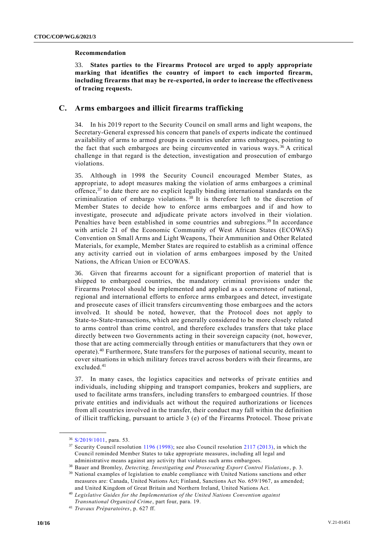#### **Recommendation**

33. **States parties to the Firearms Protocol are urged to apply appropriate marking that identifies the country of import to each imported firearm, including firearms that may be re-exported, in order to increase the effectiveness of tracing requests.**

### **C. Arms embargoes and illicit firearms trafficking**

34. In his 2019 report to the Security Council on small arms and light weapons, the Secretary-General expressed his concern that panels of experts indicate the continued availability of arms to armed groups in countries under arms embargoes, pointing to the fact that such embargoes are being circumvented in various ways.<sup>36</sup> A critical challenge in that regard is the detection, investigation and prosecution of embargo violations.

35. Although in 1998 the Security Council encouraged Member States, as appropriate, to adopt measures making the violation of arms embargoes a criminal offence, $37$  to date there are no explicit legally binding international standards on the criminalization of embargo violations. <sup>38</sup> It is therefore left to the discretion of Member States to decide how to enforce arms embargoes and if and how to investigate, prosecute and adjudicate private actors involved in their violation. Penalties have been established in some countries and subregions.<sup>39</sup> In accordance with article 21 of the Economic Community of West African States (ECOWAS) Convention on Small Arms and Light Weapons, Their Ammunition and Other Related Materials, for example, Member States are required to establish as a criminal offence any activity carried out in violation of arms embargoes imposed by the United Nations, the African Union or ECOWAS.

36. Given that firearms account for a significant proportion of materiel that is shipped to embargoed countries, the mandatory criminal provisions under the Firearms Protocol should be implemented and applied as a cornerstone of national, regional and international efforts to enforce arms embargoes and detect, investigate and prosecute cases of illicit transfers circumventing those embargoes and the actors involved. It should be noted, however, that the Protocol does not apply to State-to-State-transactions, which are generally considered to be more closely related to arms control than crime control, and therefore excludes transfers that take place directly between two Governments acting in their sovereign capacity (not, however, those that are acting commercially through entities or manufacturers that they own or operate).<sup>40</sup> Furthermore, State transfers for the purposes of national security, meant to cover situations in which military forces travel across borders with their firearms, are excluded.<sup>41</sup>

37. In many cases, the logistics capacities and networks of private entities and individuals, including shipping and transport companies, brokers and suppliers, are used to facilitate arms transfers, including transfers to embargoed countries. If those private entities and individuals act without the required authorizations or licences from all countries involved in the transfer, their conduct may fall within the definition of illicit trafficking, pursuant to article 3 (e) of the Firearms Protocol. Those privat e

<sup>36</sup> [S/2019/1011,](https://undocs.org/S/2019/1011) para. 53.

 $37$  Security Council resolution [1196 \(1998\);](https://undocs.org/S/RES/1196(1998)) see also Council resolution [2117 \(2013\),](https://undocs.org/S/RES/2117%20(2013)) in which the Council reminded Member States to take appropriate measures, including all legal and administrative means against any activity that violates such arms embargoes.

<sup>38</sup> Bauer and Bromley, *Detecting, Investigating and Prosecuting Export Control Violations*, p. 3.

<sup>&</sup>lt;sup>39</sup> National examples of legislation to enable compliance with United Nations sanctions and other measures are: Canada, United Nations Act; Finland, Sanctions Act No. 659/1967, as amended; and United Kingdom of Great Britain and Northern Ireland, United Nations Act.

<sup>40</sup> *Legislative Guides for the Implementation of the United Nations Convention against Transnational Organized Crime*, part four, para. 19.

<sup>41</sup> *Travaux Préparatoires*, p. 627 ff.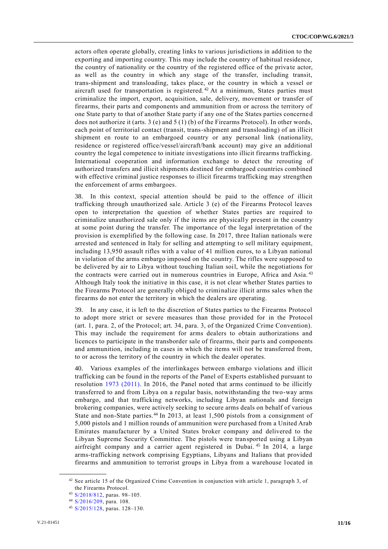actors often operate globally, creating links to various jurisdictions in addition to the exporting and importing country. This may include the country of habitual residence, the country of nationality or the country of the registered office of the private actor, as well as the country in which any stage of the transfer, including transit, trans-shipment and transloading, takes place, or the country in which a vessel or aircraft used for transportation is registered.<sup>42</sup> At a minimum, States parties must criminalize the import, export, acquisition, sale, delivery, movement or transfer of firearms, their parts and components and ammunition from or across the territory of one State party to that of another State party if any one of the States parties concerned does not authorize it (arts. 3 (e) and 5 (1) (b) of the Firearms Protocol). In other words, each point of territorial contact (transit, trans-shipment and transloading) of an illicit shipment en route to an embargoed country or any personal link (nationa lity, residence or registered office/vessel/aircraft/bank account) may give an additional country the legal competence to initiate investigations into illicit firearms trafficking. International cooperation and information exchange to detect the rerouting of authorized transfers and illicit shipments destined for embargoed countries combined with effective criminal justice responses to illicit firearms trafficking may strengthen the enforcement of arms embargoes.

38. In this context, special attention should be paid to the offence of illicit trafficking through unauthorized sale. Article 3 (e) of the Firearms Protocol leaves open to interpretation the question of whether States parties are required to criminalize unauthorized sale only if the items are physically present in the country at some point during the transfer. The importance of the legal interpretation of the provision is exemplified by the following case. In 2017, three Italian nationals were arrested and sentenced in Italy for selling and attempting to sell military equipment, including 13,950 assault rifles with a value of 41 million euros, to a Libyan national in violation of the arms embargo imposed on the country. The rifles were supposed to be delivered by air to Libya without touching Italian soil, while the negotiations for the contracts were carried out in numerous countries in Europe, Africa and Asia. <sup>43</sup> Although Italy took the initiative in this case, it is not clear whether States parties to the Firearms Protocol are generally obliged to criminalize illicit arms sales when the firearms do not enter the territory in which the dealers are operating.

39. In any case, it is left to the discretion of States parties to the Firearms Protocol to adopt more strict or severe measures than those provided for in the Protocol (art. 1, para. 2, of the Protocol; art. 34, para. 3, of the Organized Crime Convention). This may include the requirement for arms dealers to obtain authorizations and licences to participate in the transborder sale of firearms, their parts and components and ammunition, including in cases in which the items will not be transferred from, to or across the territory of the country in which the dealer operates.

40. Various examples of the interlinkages between embargo violations and illicit trafficking can be found in the reports of the Panel of Experts established pursuant to resolution [1973 \(2011\).](http://undocs.org/S/RES/1973(2011)) In 2016, the Panel noted that arms continued to be illicitly transferred to and from Libya on a regular basis, notwithstanding the two-way arms embargo, and that trafficking networks, including Libyan nationals and foreign brokering companies, were actively seeking to secure arms deals on behalf of various State and non-State parties.<sup>44</sup> In 2013, at least 1,500 pistols from a consignment of 5,000 pistols and 1 million rounds of ammunition were purchased from a United Arab Emirates manufacturer by a United States broker company and delivered to the Libyan Supreme Security Committee. The pistols were transported using a Libyan airfreight company and a carrier agent registered in Dubai. <sup>45</sup> In 2014, a large arms-trafficking network comprising Egyptians, Libyans and Italians that provided firearms and ammunition to terrorist groups in Libya from a warehouse located in

<sup>42</sup> See article 15 of the Organized Crime Convention in conjunction with article 1, paragraph 3, of the Firearms Protocol.

<sup>43</sup> [S/2018/812,](https://undocs.org/S/2018/812) paras. 98–105.

<sup>44</sup> [S/2016/209,](https://undocs.org/S/2016/209) para. 108.

<sup>45</sup> [S/2015/128,](https://undocs.org/S/2015/128) paras. 128–130.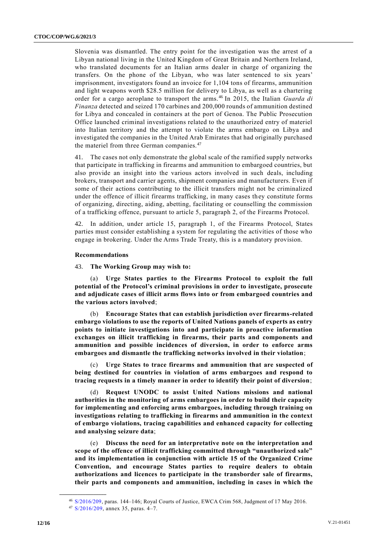Slovenia was dismantled. The entry point for the investigation was the arrest of a Libyan national living in the United Kingdom of Great Britain and Northern Ireland, who translated documents for an Italian arms dealer in charge of organizing the transfers. On the phone of the Libyan, who was later sentenced to six years' imprisonment, investigators found an invoice for 1,104 tons of firearms, ammunition and light weapons worth \$28.5 million for delivery to Libya, as well as a chartering order for a cargo aeroplane to transport the arms. <sup>46</sup> In 2015, the Italian *Guarda di Finanza* detected and seized 170 carbines and 200,000 rounds of ammunition destined for Libya and concealed in containers at the port of Genoa. The Public Prosecution Office launched criminal investigations related to the unauthorized entry of materiel into Italian territory and the attempt to violate the arms embargo on Libya and investigated the companies in the United Arab Emirates that had originally purchased the materiel from three German companies.<sup>47</sup>

41. The cases not only demonstrate the global scale of the ramified supply networks that participate in trafficking in firearms and ammunition to embargoed countries, but also provide an insight into the various actors involved in such deals, including brokers, transport and carrier agents, shipment companies and manufacturers. Even if some of their actions contributing to the illicit transfers might not be criminalized under the offence of illicit firearms trafficking, in many cases they constitute forms of organizing, directing, aiding, abetting, facilitating or counselling the commission of a trafficking offence, pursuant to article 5, paragraph 2, of the Firearms Protocol.

42. In addition, under article 15, paragraph 1, of the Firearms Protocol, States parties must consider establishing a system for regulating the activities of those who engage in brokering. Under the Arms Trade Treaty, this is a mandatory provision.

#### **Recommendations**

43. **The Working Group may wish to:**

(a) **Urge States parties to the Firearms Protocol to exploit the full potential of the Protocol's criminal provisions in order to investigate, prosecute and adjudicate cases of illicit arms flows into or from embargoed countries and the various actors involved**;

(b) **Encourage States that can establish jurisdiction over firearms-related embargo violations to use the reports of United Nations panels of experts as entry points to initiate investigations into and participate in proactive information exchanges on illicit trafficking in firearms, their parts and components and ammunition and possible incidences of diversion, in order to enforce arms embargoes and dismantle the trafficking networks involved in their violation**;

(c) **Urge States to trace firearms and ammunition that are suspected of being destined for countries in violation of arms embargoes and respond to tracing requests in a timely manner in order to identify their point of diversion**;

(d) **Request UNODC to assist United Nations missions and national authorities in the monitoring of arms embargoes in order to build their capacity for implementing and enforcing arms embargoes, including through training on investigations relating to trafficking in firearms and ammunition in the context of embargo violations, tracing capabilities and enhanced capacity for collecting and analysing seizure data**;

(e) **Discuss the need for an interpretative note on the interpretation and scope of the offence of illicit trafficking committed through "unauthorized sale" and its implementation in conjunction with article 15 of the Organized Crime Convention, and encourage States parties to require dealers to obtain authorizations and licences to participate in the transborder sale of firearms, their parts and components and ammunition, including in cases in which the** 

<sup>46</sup> [S/2016/209,](https://undocs.org/S/2016/209) paras. 144–146; Royal Courts of Justice, EWCA Crim 568, Judgment of 17 May 2016.  $47$  [S/2016/209,](https://undocs.org/S/2016/209) annex 35, paras. 4-7.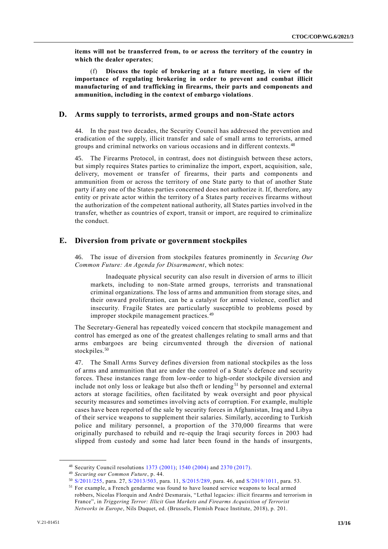**items will not be transferred from, to or across the territory of the country in which the dealer operates**;

(f) **Discuss the topic of brokering at a future meeting, in view of the importance of regulating brokering in order to prevent and combat illicit manufacturing of and trafficking in firearms, their parts and components and ammunition, including in the context of embargo violations**.

#### **D. Arms supply to terrorists, armed groups and non-State actors**

44. In the past two decades, the Security Council has addressed the prevention and eradication of the supply, illicit transfer and sale of small arms to terrorists, armed groups and criminal networks on various occasions and in different contexts. <sup>48</sup>

45. The Firearms Protocol, in contrast, does not distinguish between these actors, but simply requires States parties to criminalize the import, export, acquisition, sale, delivery, movement or transfer of firearms, their parts and components and ammunition from or across the territory of one State party to that of another State party if any one of the States parties concerned does not authorize it. If, therefore, any entity or private actor within the territory of a States party receives firearms without the authorization of the competent national authority, all States parties involved in the transfer, whether as countries of export, transit or import, are required to criminalize the conduct.

### **E. Diversion from private or government stockpiles**

46. The issue of diversion from stockpiles features prominently in *Securing Our Common Future: An Agenda for Disarmament*, which notes:

Inadequate physical security can also result in diversion of arms to illicit markets, including to non-State armed groups, terrorists and transnational criminal organizations. The loss of arms and ammunition from storage sites, and their onward proliferation, can be a catalyst for armed violence, conflict and insecurity. Fragile States are particularly susceptible to problems posed by improper stockpile management practices.<sup>49</sup>

The Secretary-General has repeatedly voiced concern that stockpile management and control has emerged as one of the greatest challenges relating to small arms and that arms embargoes are being circumvented through the diversion of national stockpiles.<sup>50</sup>

47. The Small Arms Survey defines diversion from national stockpiles as the loss of arms and ammunition that are under the control of a State's defence and security forces. These instances range from low-order to high-order stockpile diversion and include not only loss or leakage but also theft or lending<sup>51</sup> by personnel and external actors at storage facilities, often facilitated by weak oversight and poor physical security measures and sometimes involving acts of corruption. For example, multiple cases have been reported of the sale by security forces in Afghanistan, Iraq and Libya of their service weapons to supplement their salaries. Similarly, according to Turkish police and military personnel, a proportion of the 370,000 firearms that were originally purchased to rebuild and re-equip the Iraqi security forces in 2003 had slipped from custody and some had later been found in the hands of insurgents,

<sup>48</sup> Security Council resolutions [1373 \(2001\);](http://undocs.org/S/RES/1373(2001)) [1540 \(2004\)](http://undocs.org/S/RES/1540(2004)) and [2370 \(2017\).](http://undocs.org/S/RES/2370(2017)) 

<sup>49</sup> *Securing our Common Future*, p. 44.

<sup>50</sup> [S/2011/255,](https://undocs.org/S/2011/255) para. 27, [S/2013/503,](https://undocs.org/S/2013/503) para. 11, [S/2015/289,](https://undocs.org/S/2015/289) para. 46, and [S/2019/1011,](https://undocs.org/S/2019/1011) para. 53.

<sup>51</sup> For example, a French gendarme was found to have loaned service weapons to local armed robbers, Nicolas Florquin and André Desmarais, "Lethal legacies: illicit firearms and terrorism in France", in *Triggering Terror: Illicit Gun Markets and Firearms Acquisition of Terrorist Networks in Europe*, Nils Duquet, ed. (Brussels, Flemish Peace Institute, 2018), p. 201.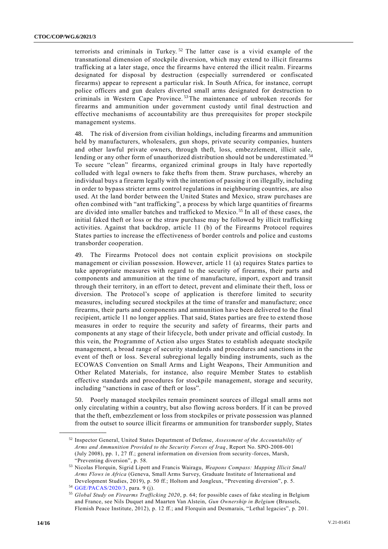terrorists and criminals in Turkey.<sup>52</sup> The latter case is a vivid example of the transnational dimension of stockpile diversion, which may extend to illicit firearms trafficking at a later stage, once the firearms have entered the illicit realm. Firearms designated for disposal by destruction (especially surrendered or confiscated firearms) appear to represent a particular risk. In South Africa, for instance, corrupt police officers and gun dealers diverted small arms designated for destruction to criminals in Western Cape Province. <sup>53</sup> The maintenance of unbroken records for firearms and ammunition under government custody until final destruction and effective mechanisms of accountability are thus prerequisites for proper stockpile management systems.

48. The risk of diversion from civilian holdings, including firearms and ammunition held by manufacturers, wholesalers, gun shops, private security companies, hunters and other lawful private owners, through theft, loss, embezzlement, illicit sale, lending or any other form of unauthorized distribution should not be underestimated.<sup>54</sup> To secure "clean" firearms, organized criminal groups in Italy have reportedly colluded with legal owners to fake thefts from them. Straw purchases, whereby an individual buys a firearm legally with the intention of passing it on illegally, including in order to bypass stricter arms control regulations in neighbouring countries, are also used. At the land border between the United States and Mexico, straw purchases are often combined with "ant trafficking", a process by which large quantities of firearms are divided into smaller batches and trafficked to Mexico. <sup>55</sup> In all of these cases, the initial faked theft or loss or the straw purchase may be followed by illicit trafficking activities. Against that backdrop, article 11 (b) of the Firearms Protocol requires States parties to increase the effectiveness of border controls and police and customs transborder cooperation.

49. The Firearms Protocol does not contain explicit provisions on stockpile management or civilian possession. However, article 11 (a) requires States parties to take appropriate measures with regard to the security of firearms, their parts and components and ammunition at the time of manufacture, import, export and transit through their territory, in an effort to detect, prevent and eliminate their theft, loss or diversion. The Protocol's scope of application is therefore limited to security measures, including secured stockpiles at the time of transfer and manufacture; once firearms, their parts and components and ammunition have been delivered to the final recipient, article 11 no longer applies. That said, States parties are free to extend those measures in order to require the security and safety of firearms, their parts and components at any stage of their lifecycle, both under private and official custody. In this vein, the Programme of Action also urges States to establish adequate stockpile management, a broad range of security standards and procedures and sanctions in the event of theft or loss. Several subregional legally binding instruments, such as the ECOWAS Convention on Small Arms and Light Weapons, Their Ammunition and Other Related Materials, for instance, also require Member States to establish effective standards and procedures for stockpile management, storage and security, including "sanctions in case of theft or loss".

50. Poorly managed stockpiles remain prominent sources of illegal small arms not only circulating within a country, but also flowing across borders. If it can be proved that the theft, embezzlement or loss from stockpiles or private possession was planned from the outset to source illicit firearms or ammunition for transborder supply, States

<sup>52</sup> Inspector General, United States Department of Defense, *Assessment of the Accountability of Arms and Ammunition Provided to the Security Forces of Iraq*, Report No. SPO-2008-001 (July 2008), pp. 1, 27 ff.; general information on diversion from security-forces, Marsh, "Preventing diversion", p. 58.

<sup>53</sup> Nicolas Florquin, Sigrid Lipott and Francis Wairagu, *Weapons Compass: Mapping Illicit Small Arms Flows in Africa* (Geneva, Small Arms Survey, Graduate Institute of International and Development Studies, 2019), p. 50 ff.; Holtom and Jongleux, "Preventing diversion", p. 5.

<sup>54</sup> [GGE/PACAS/2020/3,](https://undocs.org/GGE/PACAS/2020/3) para. 9 (j).

<sup>55</sup> *Global Study on Firearms Trafficking 2020*, p. 64; for possible cases of fake stealing in Belgium and France, see Nils Duquet and Maarten Van Alstein, *Gun Ownership in Belgium* (Brussels, Flemish Peace Institute, 2012), p. 12 ff.; and Florquin and Desmarais, "Lethal legacies", p. 201.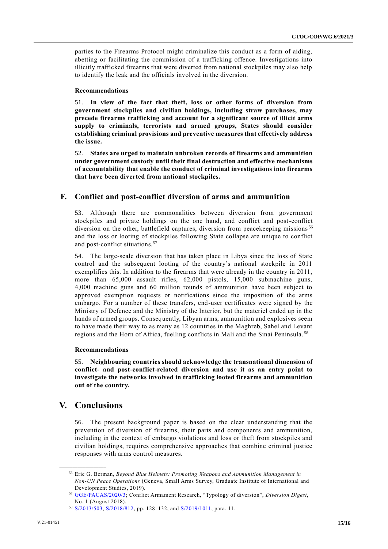parties to the Firearms Protocol might criminalize this conduct as a form of aiding, abetting or facilitating the commission of a trafficking offence. Investigations into illicitly trafficked firearms that were diverted from national stockpiles may also help to identify the leak and the officials involved in the diversion.

#### **Recommendations**

51. **In view of the fact that theft, loss or other forms of diversion from government stockpiles and civilian holdings, including straw purchases, may precede firearms trafficking and account for a significant source of illicit arms supply to criminals, terrorists and armed groups, States should consider establishing criminal provisions and preventive measures that effectively address the issue.** 

52. **States are urged to maintain unbroken records of firearms and ammunition under government custody until their final destruction and effective mechanisms of accountability that enable the conduct of criminal investigations into firearms that have been diverted from national stockpiles.**

### **F. Conflict and post-conflict diversion of arms and ammunition**

53. Although there are commonalities between diversion from government stockpiles and private holdings on the one hand, and conflict and post-conflict diversion on the other, battlefield captures, diversion from peacekeeping missions<sup>56</sup> and the loss or looting of stockpiles following State collapse are unique to conflict and post-conflict situations.<sup>57</sup>

54. The large-scale diversion that has taken place in Libya since the loss of State control and the subsequent looting of the country's national stockpile in 2011 exemplifies this. In addition to the firearms that were already in the country in 2011, more than 65,000 assault rifles, 62,000 pistols, 15,000 submachine guns, 4,000 machine guns and 60 million rounds of ammunition have been subject to approved exemption requests or notifications since the imposition of the arms embargo. For a number of these transfers, end-user certificates were signed by the Ministry of Defence and the Ministry of the Interior, but the materiel ended up in the hands of armed groups. Consequently, Libyan arms, ammunition and explosives seem to have made their way to as many as 12 countries in the Maghreb, Sahel and Levant regions and the Horn of Africa, fuelling conflicts in Mali and the Sinai Peninsula. <sup>58</sup>

### **Recommendations**

55. **Neighbouring countries should acknowledge the transnational dimension of conflict- and post-conflict-related diversion and use it as an entry point to investigate the networks involved in trafficking looted firearms and ammunition out of the country.**

# **V. Conclusions**

**\_\_\_\_\_\_\_\_\_\_\_\_\_\_\_\_\_\_**

56. The present background paper is based on the clear understanding that the prevention of diversion of firearms, their parts and components and ammunition, including in the context of embargo violations and loss or theft from stockpiles and civilian holdings, requires comprehensive approaches that combine criminal justice responses with arms control measures.

<sup>56</sup> Eric G. Berman, *Beyond Blue Helmets: Promoting Weapons and Ammunition Management in Non-UN Peace Operations* (Geneva, Small Arms Survey, Graduate Institute of International and Development Studies, 2019).

<sup>57</sup> [GGE/PACAS/2020/3;](https://undocs.org/GGE/PACAS/2020/3) Conflict Armament Research, "Typology of diversion", *Diversion Digest*, No. 1 (August 2018).

<sup>58</sup> [S/2013/503,](https://undocs.org/S/2013/503) [S/2018/812,](https://undocs.org/S/2018/812) pp. 128–132, and [S/2019/1011,](https://undocs.org/S/2019/1011) para. 11.